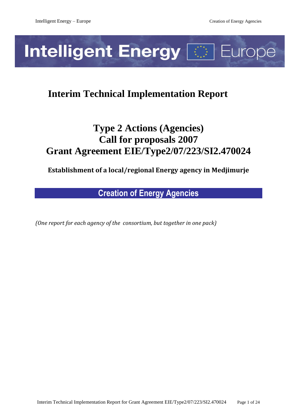# **Intelligent Energy <a>[2023] Europe**

# **Interim Technical Implementation Report**

# **Type 2 Actions (Agencies) Call for proposals 2007 Grant Agreement EIE/Type2/07/223/SI2.470024**

**Establishment of a local/regional Energy agency in Medjimurje**

**Creation of Energy Agencies**

*(One report for each agency of the consortium, but together in one pack)*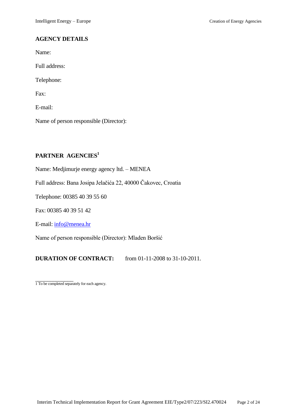# **AGENCY DETAILS**

Name:

Full address:

Telephone:

Fax:

E-mail:

Name of person responsible (Director):

# **PARTNER AGENCIES<sup>1</sup>**

Name: Medjimurje energy agency ltd. – MENEA

Full address: Bana Josipa Jelačića 22, 40000 Čakovec, Croatia

Telephone: 00385 40 39 55 60

Fax: 00385 40 39 51 42

E-mail[: info@menea.hr](mailto:info@menea.hr)

Name of person responsible (Director): Mladen Boršić

**DURATION OF CONTRACT:** from 01-11-2008 to 31-10-2011.

1 To be completed separately for each agency.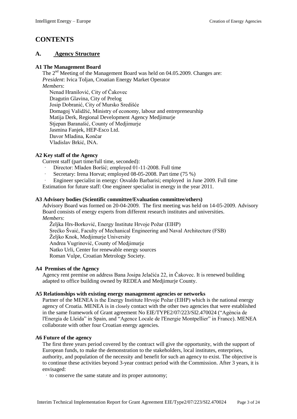# **CONTENTS**

#### **A. Agency Structure**

#### **A1 The Management Board**

The 2<sup>nd</sup> Meeting of the Management Board was held on 04.05.2009. Changes are: *President*: Ivica Toljan, Croatian Energy Market Operator *Members*: Nenad Hranilović, City of Čakovec Dragutin Glavina, City of Prelog Josip Dobranić, City of Mursko Središće Domagoj Validžić, Ministry of economy, labour and entrepreneurship Matija Derk, Regional Development Agency Medjimurje Stjepan Baranašić, County of Medjimurje Jasmina Fanjek, HEP-Esco Ltd. Davor Mladina, Končar Vladislav Brkić, INA.

#### **A2 Key staff of the Agency**

Current staff (part time/full time, seconded):

- · Director: Mladen Boršić; employed 01-11-2008. Full time
- Secretary: Irena Horvat; employed 08-05-2008. Part time (75 %)
- · Engineer specialist in energy: Osvaldo Barbarisi; employed in June 2009. Full time

Estimation for future staff: One engineer specialist in energy in the year 2011.

#### **A3 Advisory bodies (Scientific committee/Evaluation committee/others)**

Advisory Board was formed on 20-04-2009. The first meeting was held on 14-05-2009. Advisory Board consists of energy experts from different research institutes and universities. *Members*:

Željka Hrs-Borković, Energy Institute Hrvoje Požar (EIHP) Srećko Švaić, Faculty of Mechanical Engineering and Naval Architecture (FSB) Željko Knok, Medjimurje University Andrea Vugrinović, County of Medjimurje Natko Urli, Center for renewable energy sources Roman Vulpe, Croatian Metrology Society.

#### **A4 Premises of the Agency**

Agency rent premise on address Bana Josipa Jelačića 22, in Čakovec. It is renewed building adapted to office building owned by REDEA and Medjimurje County.

#### **A5 Relationships with existing energy management agencies or networks**

Partner of the MENEA is the Energy Institute Hrvoje Požar (EIHP) which is the national energy agency of Croatia. MENEA is in closely contact with the other two agencies that were established in the same framework of Grant agreement No EIE/TYPE2/07/223/SI2.470024 ("Agència de l'Energia de Lleida" in Spain, and "Agence Locale de l'Energie Montpellier" in France). MENEA collaborate with other four Croatian energy agencies.

#### **A6 Future of the agency**

The first three years period covered by the contract will give the opportunity, with the support of European funds, to make the demonstration to the stakeholders, local institutes, enterprises, authority, and population of the necessity and benefit for such an agency to exist. The objective is to continue these activities beyond 3-year contract period with the Commission. After 3 years, it is envisaged:

· to conserve the same statute and its proper autonomy;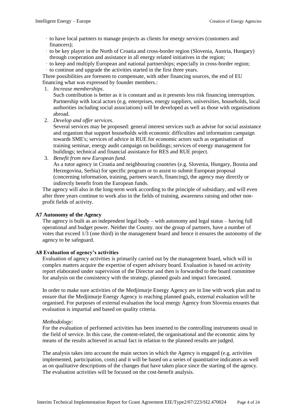- · to have local partners to manage projects as clients for energy services (customers and financers);
- · to be key player in the North of Croatia and cross-border region (Slovenia, Austria, Hungary) through cooperation and assistance in all energy related initiatives in the region;
- · to keep and multiply European and national partnerships; especially in cross-border region; · to continue and upgrade the activities started in the first three years.

Three possibilities are foreseen to compensate, with other financing sources, the end of EU financing what was expressed by founder members.:

1. *Increase memberships*.

Such contribution is better as it is constant and as it presents less risk financing interruption. Partnership with local actors (e.g. enterprises, energy suppliers, universities, households, local authorities including social associations) will be developed as well as those with organisations abroad.

2. *Develop and offer services*.

Several services may be proposed: general interest services such as advise for social assistance and organism that support households with economic difficulties and information campaign towards SME's; services of advice in RUE for economic actors such as organisation of training seminar, energy audit campaign on buildings; services of energy management for buildings; technical and financial assistance for RES and RUE project.

3. *Benefit from new European fund*.

As a tutor agency in Croatia and neighbouring countries (e.g. Slovenia, Hungary, Bosnia and Herzegovina, Serbia) for specific program or to assist to submit European proposal (concerning information, training, partners search, financing), the agency may directly or indirectly benefit from the European funds.

The agency will also in the long-term work according to the principle of subsidiary, and will even after three years continue to work also in the fields of training, awareness raising and other nonprofit fields of activity.

#### **A7 Autonomy of the Agency**

The agency is built as an independent legal body – with autonomy and legal status – having full operational and budget power. Neither the County. nor the group of partners, have a number of votes that exceed 1/3 (one third) in the management board and hence it ensures the autonomy of the agency to be safeguard.

#### **A8 Evaluation of agency's activities**

Evaluation of agency activities is primarily carried out by the management board, which will in complex matters acquire the expertise of expert advisory board. Evaluation is based on activity report elaborated under supervision of the Director and then is forwarded to the board committee for analysis on the consistency with the strategy, planned goals and impact forecasted.

In order to make sure activities of the Medjimurje Energy Agency are in line with work plan and to ensure that the Medjimurje Energy Agency is reaching planned goals, external evaluation will be organised. For purposes of external evaluation the local energy Agency from Slovenia ensures that evaluation is impartial and based on quality criteria.

#### *Methodology:*

For the evaluation of performed activities has been inserted to the controlling instruments usual in the field of service. In this case, the content-related, the organisational and the economic aims by means of the results achieved in actual fact in relation to the planned results are judged.

The analysis takes into account the main sectors in which the Agency is engaged (e.g. activities implemented, participation, costs) and it will be based on a series of quantitative indicators as well as on qualitative descriptions of the changes that have taken place since the starting of the agency. The evaluation activities will be focused on the cost-benefit analysis.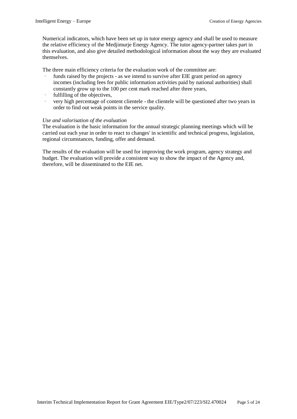Numerical indicators, which have been set up in tutor energy agency and shall be used to measure the relative efficiency of the Medjimurje Energy Agency. The tutor agency-partner takes part in this evaluation, and also give detailed methodological information about the way they are evaluated themselves.

The three main efficiency criteria for the evaluation work of the committee are:

- funds raised by the projects as we intend to survive after EIE grant period on agency incomes (including fees for public information activities paid by national authorities) shall constantly grow up to the 100 per cent mark reached after three years,
- · fulfilling of the objectives,
- very high percentage of content clientele the clientele will be questioned after two years in order to find out weak points in the service quality.

#### *Use and valorisation of the evaluation*

The evaluation is the basic information for the annual strategic planning meetings which will be carried out each year in order to react to changes' in scientific and technical progress, legislation, regional circumstances, funding, offer and demand.

The results of the evaluation will be used for improving the work program, agency strategy and budget. The evaluation will provide a consistent way to show the impact of the Agency and, therefore, will be disseminated to the EIE net.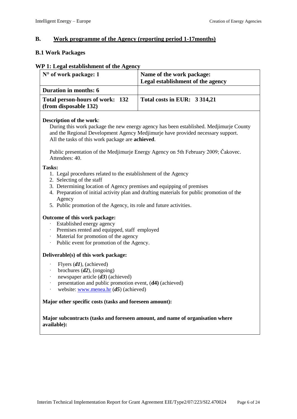# **B. Work programme of the Agency (reporting period 1-17months)**

## **B.1 Work Packages**

#### **WP 1: Legal establishment of the Agency**

| $N^{\circ}$ of work package: 1                           | Name of the work package:<br>Legal establishment of the agency |
|----------------------------------------------------------|----------------------------------------------------------------|
| <b>Duration in months: 6</b>                             |                                                                |
| Total person-hours of work: 132<br>(from disposable 132) | Total costs in EUR: 3 314,21                                   |

#### **Description of the work**:

During this work package the new energy agency has been established. Medjimurje County and the Regional Development Agency Medjimurje have provided necessary support. All the tasks of this work package are **achieved**.

Public presentation of the Medjimurje Energy Agency on 5th February 2009; Čakovec. Attendees: 40.

#### **Tasks:**

- 1. Legal procedures related to the establishment of the Agency
- 2. Selecting of the staff
- 3. Determining location of Agency premises and equipping of premises
- 4. Preparation of initial activity plan and drafting materials for public promotion of the Agency
- 5. Public promotion of the Agency, its role and future activities.

#### **Outcome of this work package:**

- · Established energy agency
- · Premises rented and equipped, staff employed
- · Material for promotion of the agency
- Public event for promotion of the Agency.

#### **Deliverable(s) of this work package:**

- Flyers (d1), (achieved)
- · brochures (*d2*), (ongoing)
- newspaper article (d3) (achieved)
- presentation and public promotion event,  $(d4)$  (achieved)
- website: [www.menea.hr](http://www.menea.hr/) (d5) (achieved)

#### **Major other specific costs (tasks and foreseen amount):**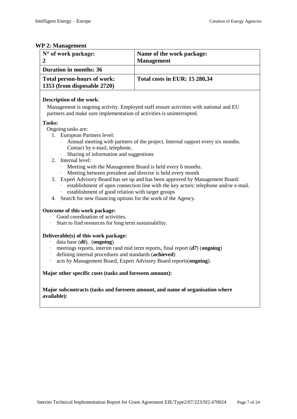# **WP** 2: M

| N° of work package:<br>$\boldsymbol{2}$                                                                                                                                                                                                                                                | Name of the work package:<br><b>Management</b>                                                                                                                                                                                                                                                                                                                                      |  |  |  |  |  |  |  |  |
|----------------------------------------------------------------------------------------------------------------------------------------------------------------------------------------------------------------------------------------------------------------------------------------|-------------------------------------------------------------------------------------------------------------------------------------------------------------------------------------------------------------------------------------------------------------------------------------------------------------------------------------------------------------------------------------|--|--|--|--|--|--|--|--|
| <b>Duration in months: 36</b>                                                                                                                                                                                                                                                          |                                                                                                                                                                                                                                                                                                                                                                                     |  |  |  |  |  |  |  |  |
| Total person-hours of work:<br>Total costs in EUR: 15 280,34<br>1353 (from disposable 2720)                                                                                                                                                                                            |                                                                                                                                                                                                                                                                                                                                                                                     |  |  |  |  |  |  |  |  |
| Description of the work:<br>partners and make sure implementation of activities is uninterrupted.                                                                                                                                                                                      | Management is ongoing activity. Employed staff ensure activities with national and EU                                                                                                                                                                                                                                                                                               |  |  |  |  |  |  |  |  |
| Tasks:                                                                                                                                                                                                                                                                                 |                                                                                                                                                                                                                                                                                                                                                                                     |  |  |  |  |  |  |  |  |
| Ongoing tasks are:<br>1. European Partners level:<br>Contact by e-mail, telephone,<br>Sharing of information and suggestions<br>Internal level:<br>$2^{\circ}$<br>establishment of good relation with target groups<br>4. Search for new financing options for the work of the Agency. | Annual meeting with partners of the project. Internal rapport every six months.<br>Meeting with the Management Board is held every 6 months.<br>Meeting between president and director is held every month<br>3. Expert Advisory Board has set up and has been approved by Management Board:<br>establishment of open connection line with the key actors: telephone and/or e-mail. |  |  |  |  |  |  |  |  |
| Outcome of this work package:<br>Good coordination of activities.<br>Start to find resources for long term sustainability.                                                                                                                                                             |                                                                                                                                                                                                                                                                                                                                                                                     |  |  |  |  |  |  |  |  |
| Deliverable(s) of this work package:<br>data base $(d6)$ , (ongoing)<br>defining internal procedures and standards (achieved)<br>Major other specific costs (tasks and foreseen amount):                                                                                               | meetings reports, interim rand mid term reports, final report $(d7)$ (ongoing)<br>acts by Management Board, Expert Advisory Board reports(ongoing).                                                                                                                                                                                                                                 |  |  |  |  |  |  |  |  |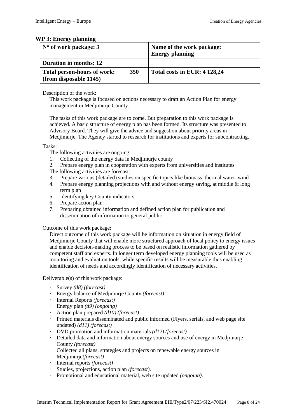# **WP 3: Energy planning**

| N° of work package: 3                                                                                                                                                                                                                                                                                                                                                                                                                                                                                                                                                                                                                                                      | Name of the work package:<br><b>Energy planning</b>                                                                                                                          |  |  |  |  |  |  |  |  |
|----------------------------------------------------------------------------------------------------------------------------------------------------------------------------------------------------------------------------------------------------------------------------------------------------------------------------------------------------------------------------------------------------------------------------------------------------------------------------------------------------------------------------------------------------------------------------------------------------------------------------------------------------------------------------|------------------------------------------------------------------------------------------------------------------------------------------------------------------------------|--|--|--|--|--|--|--|--|
| <b>Duration in months: 12</b>                                                                                                                                                                                                                                                                                                                                                                                                                                                                                                                                                                                                                                              |                                                                                                                                                                              |  |  |  |  |  |  |  |  |
| 350<br><b>Total person-hours of work:</b><br>(from disposable 1145)                                                                                                                                                                                                                                                                                                                                                                                                                                                                                                                                                                                                        | Total costs in EUR: 4 128,24                                                                                                                                                 |  |  |  |  |  |  |  |  |
| Description of the work:<br>This work package is focused on actions necessary to draft an Action Plan for energy<br>management in Medjimurje County.                                                                                                                                                                                                                                                                                                                                                                                                                                                                                                                       |                                                                                                                                                                              |  |  |  |  |  |  |  |  |
| The tasks of this work package are to come. But preparation to this work package is<br>achieved. A basic structure of energy plan has been formed. Its structure was presented to<br>Advisory Board. They will give the advice and suggestion about priority areas in<br>Medjimurje. The Agency started to research for institutions and experts for subcontracting.                                                                                                                                                                                                                                                                                                       |                                                                                                                                                                              |  |  |  |  |  |  |  |  |
| Tasks:<br>The following activities are ongoing:<br>Collecting of the energy data in Medjimurje county<br>1.<br>2.<br>Prepare energy plan in cooperation with experts from universities and institutes<br>The following activities are forecast:<br>Prepare various (detailed) studies on specific topics like biomass, thermal water, wind<br>3.<br>Prepare energy planning projections with and without energy saving, at middle & long<br>4.<br>term plan<br>Identifying key County indicators<br>5.<br>Prepare action plan<br>6.<br>Preparing obtained information and defined action plan for publication and<br>7.<br>dissemination of information to general public. |                                                                                                                                                                              |  |  |  |  |  |  |  |  |
| Outcome of this work package:<br>Direct outcome of this work package will be information on situation in energy field of<br>Medjimurje County that will enable more structured approach of local policy to energy issues<br>and enable decision-making process to be based on realistic information gathered by<br>competent staff and experts. In longer term developed energy planning tools will be used as<br>monitoring and evaluation tools, while specific results will be measurable thus enabling<br>identification of needs and accordingly identification of necessary activities.                                                                              |                                                                                                                                                                              |  |  |  |  |  |  |  |  |
| Deliverable(s) of this work package:                                                                                                                                                                                                                                                                                                                                                                                                                                                                                                                                                                                                                                       |                                                                                                                                                                              |  |  |  |  |  |  |  |  |
| Survey (d8) (forecast)<br>Energy balance of Medjimurje County (forecast)<br>Internal Reports (forecast)<br>Energy plan $(d9)$ (ongoing)<br>Action plan prepared (d10) (forecast)<br>updated) (d11) (forecast)<br>DVD promotion and information materials $(d12)$ (forecast)<br>County (forecast)<br>Collected all plans, strategies and projects on renewable energy sources in<br>Medjimurje(forecast)<br>Internal reports (forecast)<br>Studies, projections, action plan (forecast).<br>Promotional and educational material, web site updated (ongoing).                                                                                                               | Printed materials disseminated and public informed (Flyers, serials, and web page site<br>Detailed data and information about energy sources and use of energy in Medjimurje |  |  |  |  |  |  |  |  |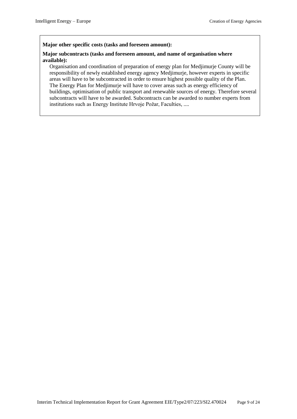#### **Major other specific costs (tasks and foreseen amount):**

#### **Major subcontracts (tasks and foreseen amount, and name of organisation where available):**

Organisation and coordination of preparation of energy plan for Medjimurje County will be responsibility of newly established energy agency Medjimurje, however experts in specific areas will have to be subcontracted in order to ensure highest possible quality of the Plan. The Energy Plan for Medjimurje will have to cover areas such as energy efficiency of buildings, optimisation of public transport and renewable sources of energy. Therefore several subcontracts will have to be awarded. Subcontracts can be awarded to number experts from institutions such as Energy Institute Hrvoje Požar, Faculties, ....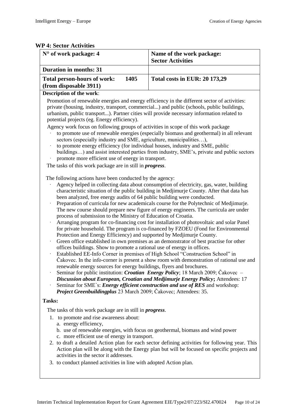## **WP 4: Sector Activities**

| I 4. SECIVI ACUVILIES                                                                                                                                                                                                                                                                                                                                                                                                                                                                                                                                                                                                                                                                                                                                                                                                                                                                                                                                                                                                                                                                                                                                                                                                                                                                                                                                                                                                                                                                                                                                                                                                                                                    |                                                                                                                                                                                                |  |  |  |  |  |  |  |  |  |
|--------------------------------------------------------------------------------------------------------------------------------------------------------------------------------------------------------------------------------------------------------------------------------------------------------------------------------------------------------------------------------------------------------------------------------------------------------------------------------------------------------------------------------------------------------------------------------------------------------------------------------------------------------------------------------------------------------------------------------------------------------------------------------------------------------------------------------------------------------------------------------------------------------------------------------------------------------------------------------------------------------------------------------------------------------------------------------------------------------------------------------------------------------------------------------------------------------------------------------------------------------------------------------------------------------------------------------------------------------------------------------------------------------------------------------------------------------------------------------------------------------------------------------------------------------------------------------------------------------------------------------------------------------------------------|------------------------------------------------------------------------------------------------------------------------------------------------------------------------------------------------|--|--|--|--|--|--|--|--|--|
| N° of work package: 4                                                                                                                                                                                                                                                                                                                                                                                                                                                                                                                                                                                                                                                                                                                                                                                                                                                                                                                                                                                                                                                                                                                                                                                                                                                                                                                                                                                                                                                                                                                                                                                                                                                    | Name of the work package:<br><b>Sector Activities</b>                                                                                                                                          |  |  |  |  |  |  |  |  |  |
|                                                                                                                                                                                                                                                                                                                                                                                                                                                                                                                                                                                                                                                                                                                                                                                                                                                                                                                                                                                                                                                                                                                                                                                                                                                                                                                                                                                                                                                                                                                                                                                                                                                                          |                                                                                                                                                                                                |  |  |  |  |  |  |  |  |  |
| <b>Duration in months: 31</b>                                                                                                                                                                                                                                                                                                                                                                                                                                                                                                                                                                                                                                                                                                                                                                                                                                                                                                                                                                                                                                                                                                                                                                                                                                                                                                                                                                                                                                                                                                                                                                                                                                            |                                                                                                                                                                                                |  |  |  |  |  |  |  |  |  |
| 1405<br><b>Total person-hours of work:</b>                                                                                                                                                                                                                                                                                                                                                                                                                                                                                                                                                                                                                                                                                                                                                                                                                                                                                                                                                                                                                                                                                                                                                                                                                                                                                                                                                                                                                                                                                                                                                                                                                               | <b>Total costs in EUR: 20 173,29</b>                                                                                                                                                           |  |  |  |  |  |  |  |  |  |
| (from disposable 3911)                                                                                                                                                                                                                                                                                                                                                                                                                                                                                                                                                                                                                                                                                                                                                                                                                                                                                                                                                                                                                                                                                                                                                                                                                                                                                                                                                                                                                                                                                                                                                                                                                                                   |                                                                                                                                                                                                |  |  |  |  |  |  |  |  |  |
| Description of the work:                                                                                                                                                                                                                                                                                                                                                                                                                                                                                                                                                                                                                                                                                                                                                                                                                                                                                                                                                                                                                                                                                                                                                                                                                                                                                                                                                                                                                                                                                                                                                                                                                                                 |                                                                                                                                                                                                |  |  |  |  |  |  |  |  |  |
| Promotion of renewable energies and energy efficiency in the different sector of activities:<br>private (housing, industry, transport, commercial) and public (schools, public buildings,<br>urbanism, public transport). Partner cities will provide necessary information related to<br>potential projects (eg. Energy efficiency).                                                                                                                                                                                                                                                                                                                                                                                                                                                                                                                                                                                                                                                                                                                                                                                                                                                                                                                                                                                                                                                                                                                                                                                                                                                                                                                                    |                                                                                                                                                                                                |  |  |  |  |  |  |  |  |  |
| Agency work focus on following groups of activities in scope of this work package                                                                                                                                                                                                                                                                                                                                                                                                                                                                                                                                                                                                                                                                                                                                                                                                                                                                                                                                                                                                                                                                                                                                                                                                                                                                                                                                                                                                                                                                                                                                                                                        |                                                                                                                                                                                                |  |  |  |  |  |  |  |  |  |
| to promote use of renewable energies (especially biomass and geothermal) in all relevant<br>sectors (especially industry and SME, agriculture, municipalities),<br>to promote energy efficiency (for individual houses, industry and SME, public<br>buildings) and assist interested parties from industry, SME's, private and public sectors                                                                                                                                                                                                                                                                                                                                                                                                                                                                                                                                                                                                                                                                                                                                                                                                                                                                                                                                                                                                                                                                                                                                                                                                                                                                                                                            |                                                                                                                                                                                                |  |  |  |  |  |  |  |  |  |
|                                                                                                                                                                                                                                                                                                                                                                                                                                                                                                                                                                                                                                                                                                                                                                                                                                                                                                                                                                                                                                                                                                                                                                                                                                                                                                                                                                                                                                                                                                                                                                                                                                                                          |                                                                                                                                                                                                |  |  |  |  |  |  |  |  |  |
| promote more efficient use of energy in transport.<br>The tasks of this work package are in still in <i>progress</i> .<br>The following actions have been conducted by the agency:<br>Agency helped in collecting data about consumption of electricity, gas, water, building<br>characteristic situation of the public building in Medjimurje County. After that data has<br>been analyzed, free energy audits of 64 public building were conducted.<br>Preparation of curricula for new academicals course for the Polytechnic of Medjimurje.<br>The new course should prepare new figure of energy engineers. The curricula are under<br>process of submission to the Ministry of Education of Croatia.<br>Arranging program for co-financing cost for installation of photovoltaic and solar Panel<br>for private household. The program is co-financed by FZOEU (Fond for Environmental<br>Protection and Energy Efficiency) and supported by Medjimurje County.<br>Green office established in own premises as an demonstrator of best practise for other<br>offices buildings. Show to promote a rational use of energy in offices.<br>Established EE-Info Corner in premises of High School "Construction School" in<br>Cakovec. In the info-corner is present a show room with demonstration of rational use and<br>renewable energy sources for energy buildings, flyers and brochures.<br>Seminar for public institution: <i>Croatian Energy Policy</i> ; 18 March 2009; Čakovec –<br>Discussion about European, Croatian and Medjimurje Energy Policy; Attendees: 17<br>Seminar for SME's: <i>Energy efficient construction and use of RES</i> and workshop: |                                                                                                                                                                                                |  |  |  |  |  |  |  |  |  |
| Tasks:                                                                                                                                                                                                                                                                                                                                                                                                                                                                                                                                                                                                                                                                                                                                                                                                                                                                                                                                                                                                                                                                                                                                                                                                                                                                                                                                                                                                                                                                                                                                                                                                                                                                   |                                                                                                                                                                                                |  |  |  |  |  |  |  |  |  |
| The tasks of this work package are in still in <i>progress</i> .                                                                                                                                                                                                                                                                                                                                                                                                                                                                                                                                                                                                                                                                                                                                                                                                                                                                                                                                                                                                                                                                                                                                                                                                                                                                                                                                                                                                                                                                                                                                                                                                         |                                                                                                                                                                                                |  |  |  |  |  |  |  |  |  |
| 1. to promote and rise awareness about:<br>a. energy efficiency,<br>b. use of renewable energies, with focus on geothermal, biomass and wind power<br>c. more efficient use of energy in transport.<br>activities in the sector it addresses.<br>3. to conduct planned activities in line with adopted Action plan.                                                                                                                                                                                                                                                                                                                                                                                                                                                                                                                                                                                                                                                                                                                                                                                                                                                                                                                                                                                                                                                                                                                                                                                                                                                                                                                                                      | 2. to draft a detailed Action plan for each sector defining activities for following year. This<br>Action plan will be along with the Energy plan but will be focused on specific projects and |  |  |  |  |  |  |  |  |  |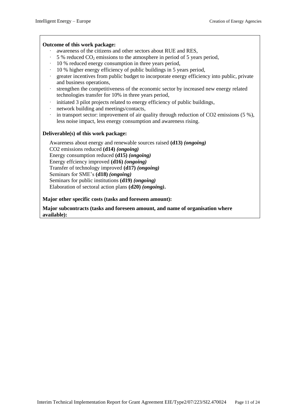#### **Outcome of this work package:**

- · awareness of the citizens and other sectors about RUE and RES,
- $\cdot$  5 % reduced CO<sub>2</sub> emissions to the atmosphere in period of 5 years period,
- · 10 % reduced energy consumption in three years period,
- · 10 % higher energy efficiency of public buildings in 5 years period,
- greater incentives from public budget to incorporate energy efficiency into public, private and business operations,
- strengthen the competitiveness of the economic sector by increased new energy related technologies transfer for 10% in three years period,
- initiated 3 pilot projects related to energy efficiency of public buildings,
- network building and meetings/contacts,
- in transport sector: improvement of air quality through reduction of  $CO2$  emissions (5 %), less noise impact, less energy consumption and awareness rising.

#### **Deliverable(s) of this work package:**

Awareness about energy and renewable sources raised **(d13)** *(ongoing)* CO2 emissions reduced **(d14)** *(ongoing)* Energy consumption reduced **(d15)** *(ongoing)* Energy effciency improved **(d16)** *(ongoing)* Transfer of technology improved **(d17)** *(ongoing)* Seminars for SME's **(d18)** *(ongoing)* Seminars for public institutions **(d19)** *(ongoing)* Elaboration of sectoral action plans **(d20)** *(ongoing)***.**

**Major other specific costs (tasks and foreseen amount):**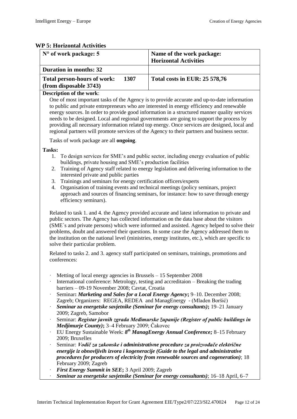#### **WP 5: Horizontal Activities**

| $N^{\circ}$ of work package: 5                                       | Name of the work package:<br><b>Horizontal Activities</b> |
|----------------------------------------------------------------------|-----------------------------------------------------------|
| <b>Duration in months: 32</b>                                        |                                                           |
| <b>Total person-hours of work:</b><br>1307<br>(from disposable 3743) | <b>Total costs in EUR: 25 578,76</b>                      |

#### **Description of the work**:

One of most important tasks of the Agency is to provide accurate and up-to-date information to public and private entrepreneurs who are interested in energy efficiency and renewable energy sources. In order to provide good information in a structured manner quality services needs to be designed. Local and regional governments are going to support the process by providing all necessary information related top energy. Once services are designed, local and regional partners will promote services of the Agency to their partners and business sector.

Tasks of work package are all **ongoing**.

#### **Tasks:**

- 1. To design services for SME's and public sector, including energy evaluation of public buildings, private housing and SME's production facilities
- 2. Training of Agency staff related to energy legislation and delivering information to the interested private and public parties
- 3. Trainings and seminars for energy certification officers/experts
- 4. Organisation of training events and technical meetings (policy seminars, project approach and sources of financing seminars, for instance: how to save through energy efficiency seminars).

Related to task 1. and 4. the Agency provided accurate and latest information to private and public sectors. The Agency has collected information on the data base about the visitors (SME`s and private persons) which were informed and assisted. Agency helped to solve their problems, doubt and answered their questions. In some case the Agency addressed them to the institution on the national level (ministries, energy institutes, etc.), which are specific to solve their particular problem.

Related to tasks 2. and 3. agency staff participated on seminars, trainings, promotions and conferences:

- Metting of local energy agencies in Brussels  $-15$  September 2008
- International conference: Metrology, testing and accreditaion  $-$  Breaking the trading barriers – 09-19 November 2008; Cavtat, Croatia
- · Seminar**:** *Marketing and Sales for a Local Energy Agency***;** 9–10. December 2008; Zagreb; Organizers: REGEA, REDEA and ManagEnergy - (Mladen Boršić)
- · *Seminar za energetske savjetnike (Seminar for energy consultants)***;** 19–21 January 2009; Zagreb, Samobor
- · Seminar: *Registar javnih zgrada Međimurske županije (Register of public buildings in Medjimurje County)***;** 3–4 February 2009; Čakovec
- · EU Energy Sustainable Week: *8 th ManagEnergy Annual Conference;* 8–15 February 2009; Bruxelles
- · Seminar: *Vodič za zakonske i administrativne procedure za proizvođače električne energije iz obnovljivih izvora i kogeneracije (Guide to the legal and administrative procedures for producers of electricity from renewable sources and cogeneration)*; 18 February 2009; Zagreb
- · *First Energy Summit in SEE***;** 3 April 2009; Zagreb
- · *Seminar za energetske savjetnike (Seminar for energy consultants)*; 16–18 April, 6–7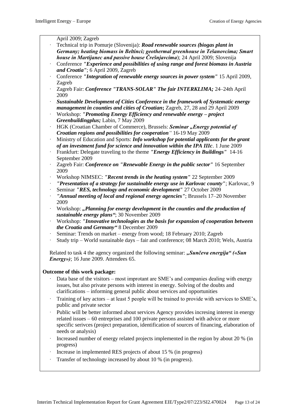April 2009; Zagreb

- · Technical trip in Pomurje (Slovenija): *Road renewable sources (biogas plant in Germany; heating biomass in Beltinci; geothermal greenhouse in Tešanovcima; Smart house in Martijanec and passive house Črešnjavcima*); 24 April 2009; Slovenija
- · Conference *"Experience and possibilities of using range and forest biomass in Austria and Croatia"*; 6 April 2009, Zagreb
- · Conference *"Integration of renewable energy sources in power system"* 15 April 2009, Zagreb
- Zagreb Fair: *Conference "TRANS-SOLAR" The fair INTERKLIMA*; 24-24th April 2009
- · *Sustainable Development of Cities Conference in the framework of Systematic energy management in counties and cities of Croatian***;** Zagreb, 27, 28 and 29 April 2009
- · Workshop: *"Promoting Energy Efficiency and renewable energy – project Greenbuildingplus;* Labin, 7 May 2009
- · HGK (Croatian Chamber of Commerce), Brussels: *Seminar "Energy potential of Croatian regions and possibilities for cooperation"* 16-19 May 2009
- · Ministry of Education and Sports: *Info workshop for potential applicants for the grant of an investment fund for science and innovation within the IPA IIIc*. 1 June 2009
- · Frankfurt: Delegate traveling to the theme *"Energy Efficiency in Buildings"* 14-16 September 2009
- · Zagreb Fair: *Conference on "Renewable Energy in the public sector"* 16 September 2009
- · Workshop NIMSEC: *"Recent trends in the heating system"* 22 September 2009
- · *"Presentation of a strategy for sustainable energy use in Karlovac county"*; Karlovac, 9
- · Seminar *"RES, technology and economic development"* 27 October 2009
- · *"Annual meeting of local and regional energy agencies"*; Brussels 17–20 November 2009
- · Workshop: *"Planning for energy development in the counties and the production of sustainable energy plans"*; 30 November 2009
- · Workshop: *"Innovative technologies as the basis for expansion of cooperation between the Croatia and Germany"* 8 December 2009
- Seminar: Trends on market energy from wood; 18 February 2010; Zagreb
- · Study trip World sustainable days fair and conference; 08 March 2010; Wels, Austria

Related to task 4 the agency organized the following seminar: "Sunčeva energija" («Sun *Energy»*); 16 June 2009. Attendees 65.

#### **Outcome of this work package:**

- Data base of the visitors most improtant are SME's and companies dealing with energy issues, but also private persons with interest in energy. Solving of the doubts and clarifications – informing general public about services and opportunities
- Training of key actors at least 5 people will be trained to provide with services to SME's, public and private sector
- Public will be better informed about services Agency provides incresing interest in energy related issues – 60 entreprises and 100 private persons assisted with advice or more specific serivces (project preparation, identification of sources of financing, elaboration of needs or analysis)
- Increased number of energy related projects implemented in the region by about 20 % (in progress)
- Increase in implemented RES projects of about 15 % (in progress)
- Transfer of technology increased by about 10 % (in progress).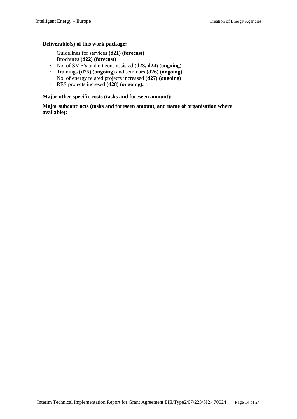#### **Deliverable(s) of this work package:**

- · Guidelines for services **(d21) (forecast)**
- · Brochures **(d22) (forecast)**
- · No. of SME's and citizens assisted **(d23, d24) (ongoing)**
- · Trainings **(d25) (ongoing)** and seminars **(d26) (ongoing)**
- · No. of energy related projects increased **(d27) (ongoing)**
- · RES projects incresed **(d28) (ongoing).**

**Major other specific costs (tasks and foreseen amount):**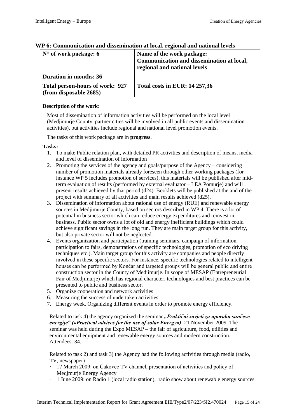| $No$ of work package: 6                                   | Name of the work package:<br>Communication and dissemination at local,<br>regional and national levels |
|-----------------------------------------------------------|--------------------------------------------------------------------------------------------------------|
| <b>Duration in months: 36</b>                             |                                                                                                        |
| Total person-hours of work: 927<br>(from disposable 2685) | <b>Total costs in EUR: 14 257,36</b>                                                                   |

#### **WP 6: Communication and dissemination at local, regional and national levels**

#### **Description of the work**:

Most of dissemination of information activities will be performed on the local level (Medjimurje County, partner cities will be involved in all public events and dissemination activities), but activities include regional and national level promotion events.

The tasks of this work package are in **progress**.

#### **Tasks:**

- 1. To make Public relation plan, with detailed PR activities and description of means, media and level of dissemination of information
- 2. Promoting the services of the agency and goals/purpose of the Agency considering number of promotion materials already foreseen through other working packages (for instance WP 5 includes promotion of services), this materials will be published after midterm evaluation of results (performed by external evaluator – LEA Pomurje) and will present results achieved by that period (d24). Booklets will be published at the and of the project with summary of all activities and main results achieved (d25).
- 3. Dissemination of information about rational use of energy (RUE) and renewable energy sources in Medjimurje County, based on sectors described in WP 4. There is a lot of potential in business sector which can reduce energy expenditures and reinvest in business. Public sector owns a lot of old and energy inefficient buildings which could achieve significant savings in the long run. They are main target group for this activity, but also private sector will not be neglected.
- 4. Events organization and participation (training seminars, campaign of information, participation to fairs, demonstrations of specific technologies, promotion of eco driving techniques etc.). Main target group for this activity are companies and people directly involved in these specific sectors. For instance, specific technologies related to intelligent houses can be performed by Končar and targeted groups will be general public and entire construction sector in the County of Medjimurje. In scope of MESAP (Entrepreneurial Fair of Medjimurje) which has regional character, technologies and best practices can be presented to public and business sector.
- 5. Organize cooperation and network activities
- 6. Measuring the success of undertaken activities
- 7. Energy week. Organizing different events in order to promote energy efficiency.

Related to task 4) the agency organized the seminar *"Praktični savjeti za uporabu sunčeve energije" («Practical advices for the use of solar Energy»)*; 21 November 2009. The seminar was held during the Expo MESAP – the fair of agriculture, food, utilities and environmental equipment and renewable energy sources and modern construction. Attendees: 34.

Related to task 2) and task 3) the Agency had the following activities through media (radio, TV, newspaper)

- · 17 March 2009: on Čakovec TV channel, presentation of activities and policy of Medjmurje Energy Agency
- · 1 June 2009: on Radio 1 (local radio station), radio show about renewable energy sources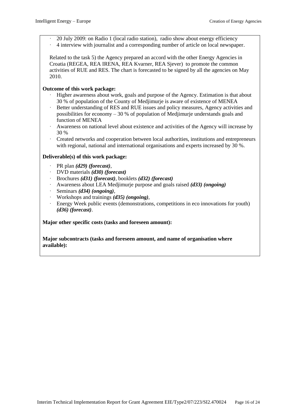· 20 July 2009: on Radio 1 (local radio station), radio show about energy efficiency · 4 interview with journalist and a corresponding number of article on local newspaper.

Related to the task 5) the Agency prepared an accord with the other Energy Agencies in Croatia (REGEA, REA IRENA, REA Kvarner, REA Sjever) to promote the common activities of RUE and RES. The chart is forecasted to be signed by all the agencies on May 2010.

#### **Outcome of this work package:**

- · Higher awareness about work, goals and purpose of the Agency. Estimation is that about 30 % of population of the County of Medjimurje is aware of existence of MENEA
- Better understanding of RES and RUE issues and policy measures, Agency activities and possibilities for economy – 30 % of population of Medjimurje understands goals and function of MENEA
- · Awareness on national level about existence and activities of the Agency will increase by 30 %
- · Created networks and cooperation between local authorities, institutions and entrepreneurs with regional, national and international organisations and experts increased by 30 %.

#### **Deliverable(s) of this work package:**

- · PR plan *(d29) (forecast)*,
- · DVD materials *(d30) (forecast)*
- · Brochures *(d31) (forecast)*, booklets *(d32) (forecast)*
- · Awareness about LEA Medjimurje purpose and goals raised *(d33) (ongoing)*
- · Seminars *(d34) (ongoing)*,
- · Workshops and trainings *(d35) (ongoing)*,
- Energy Week public events (demonstrations, competitions in eco innovations for youth) *(d36) (forecast)*.

#### **Major other specific costs (tasks and foreseen amount):**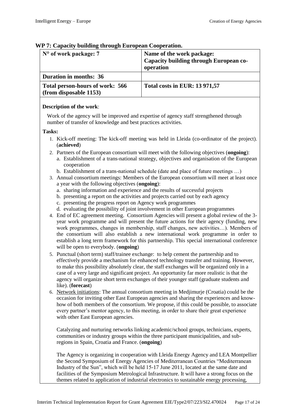| $N^{\circ}$ of work package: 7                            | Name of the work package:<br><b>Capacity building through European co-</b><br>operation |
|-----------------------------------------------------------|-----------------------------------------------------------------------------------------|
| <b>Duration in months: 36</b>                             |                                                                                         |
| Total person-hours of work: 566<br>(from disposable 1153) | <b>Total costs in EUR: 13 971,57</b>                                                    |

#### **WP 7: Capacity building through European Cooperation.**

#### **Description of the work**:

Work of the agency will be improved and expertise of agency staff strengthened through number of transfer of knowledge and best practices activities.

#### **Tasks:**

- 1. Kick-off meeting: The kick-off meeting was held in Lleida (co-ordinator of the project). (**achieved**)
- 2. Partners of the European consortium will meet with the following objectives (**ongoing**):
	- a. Establishment of a trans-national strategy, objectives and organisation of the European cooperation
	- b. Establishment of a trans-national schedule (date and place of future meetings …)
- 3. Annual consortium meetings: Members of the European consortium will meet at least once a year with the following objectives (**ongoing**):
	- a. sharing information and experience and the results of successful projects
	- b. presenting a report on the activities and projects carried out by each agency
	- c. presenting the progress report on Agency work programmes
	- d. evaluating the possibility of joint involvement in other European programmes
- 4. End of EC agreement meeting. Consortium Agencies will present a global review of the 3 year work programme and will present the future actions for their agency (funding, new work programmes, changes in membership, staff changes, new activities…). Members of the consortium will also establish a new international work programme in order to establish a long term framework for this partnership. This special international conference will be open to everybody. (**ongoing**)
- 5. Punctual (short term) staff/trainee exchange: to help cement the partnership and to effectively provide a mechanism for enhanced technology transfer and training. However, to make this possibility absolutely clear, the staff exchanges will be organized only in a case of a very large and significant project. An opportunity far more realistic is that the agency will organize short term exchanges of their younger staff (graduate students and like). (**forecast**)
- 6. Network initiations: The annual consortium meeting in Medjimurje (Croatia) could be the occasion for inviting other East European agencies and sharing the experiences and knowhow of both members of the consortium. We propose, if this could be possible, to associate every partner's mentor agency, to this meeting, in order to share their great experience with other East European agencies.

Catalyzing and nurturing networks linking academic/school groups, technicians, experts, communities or industry groups within the three participant municipalities, and subregions in Spain, Croatia and France. (**ongoing**)

The Agency is organizing in cooperation with Lleida Energy Agency and LEA Montpellier the Second Symposium of Energy Agencies of Mediterranean Countries "Mediterranean Industry of the Sun", which will be held 15-17 June 2011, located at the same date and facilities of the Symposium Metrological Infrastructure. It will have a strong focus on the themes related to application of industrial electronics to sustainable energy processing,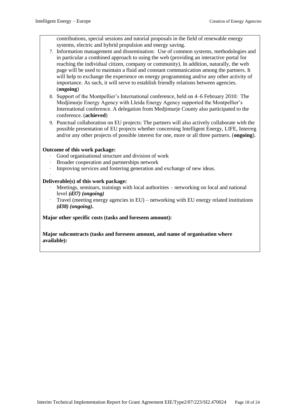contributions, special sessions and tutorial proposals in the field of renewable energy systems, electric and hybrid propulsion and energy saving.

- 7. Information management and dissemination: Use of common systems, methodologies and in particular a combined approach to using the web (providing an interactive portal for reaching the individual citizen, company or community). In addition, naturally, the web page will be used to maintain a fluid and constant communication among the partners. It will help to exchange the experience on energy programming and/or any other activity of importance. As such, it will serve to establish friendly relations between agencies. (**ongoing**)
- 8. Support of the Montpellier's International conference, held on 4–6 February 2010: The Medjimurje Energy Agency with Lleida Energy Agency supported the Montpellier's International conference. A delegation from Medjimurje County also participated to the conference. (**achieved**)
- 9. Punctual collaboration on EU projects: The partners will also actively collaborate with the possible presentation of EU projects whether concerning Intelligent Energy, LIFE, Interreg and/or any other projects of possible interest for one, more or all three partners. (**ongoing**).

#### **Outcome of this work package:**

- Good organisational structure and division of work
- · Broader cooperation and partnerships network
- Improving services and fostering generation and exchange of new ideas.

#### · **Deliverable(s) of this work package:**

- Meetings, seminars, trainings with local authorities networking on local and national level *(d37) (ongoing)*
- · Travel (meeting energy agencies in EU) networking with EU energy related institutions *(d38) (ongoing)***.**

#### **Major other specific costs (tasks and foreseen amount):**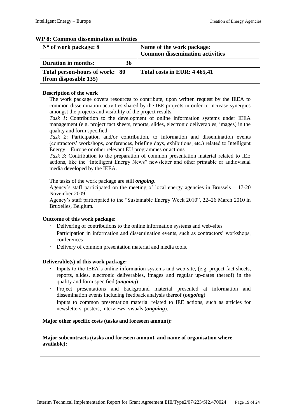#### **WP 8: Common dissemination activities**

| $N^{\circ}$ of work package: 8                          | Name of the work package:<br><b>Common dissemination activities</b> |
|---------------------------------------------------------|---------------------------------------------------------------------|
| <b>Duration in months:</b><br>36                        |                                                                     |
| Total person-hours of work: 80<br>(from disposable 135) | Total costs in EUR: 4 465,41                                        |
|                                                         |                                                                     |

#### **Description of the work**

The work package covers resources to contribute, upon written request by the IEEA to common dissemination activities shared by the IEE projects in order to increase synergies amongst the projects and visibility of the project results.

*Task 1*: Contribution to the development of online information systems under IEEA management (e.g. project fact sheets, reports, slides, electronic deliverables, images) in the quality and form specified

*Task 2*: Participation and/or contribution, to information and dissemination events (contractors' workshops, conferences, briefing days, exhibitions, etc.) related to Intelligent Energy – Europe or other relevant EU programmes or actions

*Task 3*: Contribution to the preparation of common presentation material related to IEE actions, like the "Intelligent Energy News" newsletter and other printable or audiovisual media developed by the IEEA.

The tasks of the work package are still *ongoing*.

Agency`s staff participated on the meeting of local energy agencies in Brussels – 17-20 November 2009.

Agency's staff participated to the "Sustainable Energy Week 2010", 22–26 March 2010 in Bruxelles, Belgium.

#### **Outcome of this work package:**

- Delivering of contributions to the online information systems and web-sites
- Participation in information and dissemination events, such as contractors' workshops, conferences
- Delivery of common presentation material and media tools.

#### **Deliverable(s) of this work package:**

- Inputs to the IEEA's online information systems and web-site, (e.g. project fact sheets, reports, slides, electronic deliverables, images and regular up-dates thereof) in the quality and form specified (*ongoing*)
- Project presentations and background material presented at information and dissemination events including feedback analysis thereof (*ongoing*)
- · Inputs to common presentation material related to IEE actions, such as articles for newsletters, posters, interviews, visuals (*ongoing*).

#### **Major other specific costs (tasks and foreseen amount):**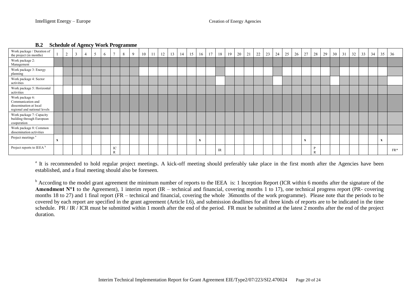| Work package / Duration of<br>the project (in months)                                          |              | 2 | 3 | 4 | 5 | <sub>0</sub> | $\mathcal{L}$ | 8 | 9 | 10 | -11 | 12 | 13 | 14 | 15 | 16          | 17 | 18 | 19 | 20 | 21 | 22 | 23 | 24 | 25 | 26 | 27          | 28 | 29 | 30 | 31 | 32 | 33 | 34 | 35           | 36    |
|------------------------------------------------------------------------------------------------|--------------|---|---|---|---|--------------|---------------|---|---|----|-----|----|----|----|----|-------------|----|----|----|----|----|----|----|----|----|----|-------------|----|----|----|----|----|----|----|--------------|-------|
| Work package 2:<br>Management                                                                  |              |   |   |   |   |              |               |   |   |    |     |    |    |    |    |             |    |    |    |    |    |    |    |    |    |    |             |    |    |    |    |    |    |    |              |       |
| Work package 3: Energy<br>planning                                                             |              |   |   |   |   |              |               |   |   |    |     |    |    |    |    |             |    |    |    |    |    |    |    |    |    |    |             |    |    |    |    |    |    |    |              |       |
| Work package 4: Sector<br>activities                                                           |              |   |   |   |   |              |               |   |   |    |     |    |    |    |    |             |    |    |    |    |    |    |    |    |    |    |             |    |    |    |    |    |    |    |              |       |
| Work package 5: Horizontal<br>activities                                                       |              |   |   |   |   |              |               |   |   |    |     |    |    |    |    |             |    |    |    |    |    |    |    |    |    |    |             |    |    |    |    |    |    |    |              |       |
| Work package 6:<br>Communication and<br>dissemination at local<br>regional and national levels |              |   |   |   |   |              |               |   |   |    |     |    |    |    |    |             |    |    |    |    |    |    |    |    |    |    |             |    |    |    |    |    |    |    |              |       |
| Work package 7: Capacity<br>building through European<br>cooperation                           |              |   |   |   |   |              |               |   |   |    |     |    |    |    |    |             |    |    |    |    |    |    |    |    |    |    |             |    |    |    |    |    |    |    |              |       |
| Work package 8: Common<br>dissemination activities                                             |              |   |   |   |   |              |               |   |   |    |     |    |    |    |    |             |    |    |    |    |    |    |    |    |    |    |             |    |    |    |    |    |    |    |              |       |
| Project meetings <sup>a</sup>                                                                  | $\mathbf{x}$ |   |   |   |   |              |               |   |   |    |     |    |    |    |    | $\mathbf X$ |    |    |    |    |    |    |    |    |    |    | $\mathbf X$ |    |    |    |    |    |    |    | $\mathbf{x}$ |       |
| Project reports to IEEA <sup>b</sup>                                                           |              |   |   |   |   |              | IC<br>R       |   |   |    |     |    |    |    |    |             |    | IR |    |    |    |    |    |    |    |    |             | r  |    |    |    |    |    |    |              | $FR*$ |

#### **B.2 Schedule of Agency Work Programme**

<sup>a</sup> It is recommended to hold regular project meetings. A kick-off meeting should preferably take place in the first month after the Agencies have been established, and a final meeting should also be foreseen.

<sup>b</sup> According to the model grant agreement the minimum number of reports to the IEEA is: 1 Inception Report (ICR within 6 months after the signature of the Amendment N<sup>o</sup>1 to the Agreement), 1 interim report (IR – technical and financial, covering months 1 to 17), one technical progress report (PR- covering months 18 to 27) and 1 final report (FR – technical and financial, covering the whole 36months of the work programme). Please note that the periods to be covered by each report are specified in the grant agreement (Article I.6), and submission deadlines for all three kinds of reports are to be indicated in the time schedule. PR / IR / ICR must be submitted within 1 month after the end of the period. FR must be submitted at the latest 2 months after the end of the project duration.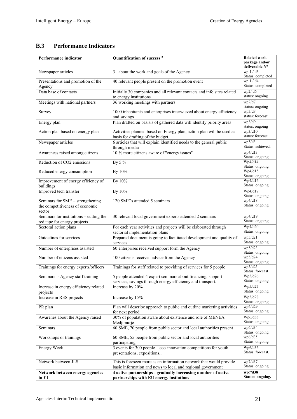# **Performance Indicators**

| Performance indicator                                 | Quantification of success <sup>a</sup>                                                                                     | <b>Related work</b>              |
|-------------------------------------------------------|----------------------------------------------------------------------------------------------------------------------------|----------------------------------|
|                                                       |                                                                                                                            | package and/or<br>deliverable N° |
| Newspaper articles                                    | 3- about the work and goals of the Agency                                                                                  | wp $1/d3$<br>Status: completed   |
| Presentations and promotion of the                    | 40 relevant people present on the promotion event                                                                          | wp 1 / d4<br>Status: completed   |
| Agency<br>Data base of contacts                       | Initially 30 companies and all relevant contacts and info sites related                                                    | wp2/d6                           |
|                                                       | to energy institutions                                                                                                     | status: ongoing                  |
| Meetings with national partners                       | 36 working meetings with partners                                                                                          | wp2/d7<br>status: ongoing        |
| Survey                                                | 1000 inhabitants and enterprises interwieved about energy efficiency<br>and savings                                        | wp3/d8<br>status: forecast       |
| Energy plan                                           | Plan drafted on basisis of gathered data will identify priority areas                                                      | wp3/d9<br>status: ongoing        |
| Action plan based on energy plan                      | Activities planned based on Energy plan, action plan will be used as<br>basis for drafting of the budget.                  | wp3/d10<br>status: forecast      |
| Newspaper articles                                    | 6 articles that will explain identified needs to the general public                                                        | wp3/d3<br>Status: achieved.      |
| Awareness raised among citizens                       | through media<br>10 % more citizens aware of "energy issues"                                                               | wp4/d13                          |
| Reduction of CO2 emissions                            | By 5 %                                                                                                                     | Status: ongoing.<br>Wp4/d14      |
|                                                       |                                                                                                                            | Status: ongoing.                 |
| Reduced energy consumption                            | By 10%                                                                                                                     | Wp4/d15<br>Status: ongoing.      |
| Improvement of energy effciency of<br>buildings       | By 10%                                                                                                                     | Wp4/d16<br>Status: ongoing.      |
| Improved tech transfer                                | By 10%                                                                                                                     | Wp4/d17<br>Status: ongoing.      |
| Seminars for SME - strengthening                      | 120 SME's attended 5 seminars                                                                                              | wp4/d18                          |
| the competitiveness of economic<br>sector             |                                                                                                                            | Status: ongoing.                 |
| Seminars for institutions - cutting the               | 30 relevant local government experts attended 2 seminars                                                                   | wp4/d19<br>Status: ongoing.      |
| red tape for energy projects<br>Sectoral action plans | For each year activities and projects will be elaborated through                                                           | Wp4/d20                          |
|                                                       | sectorial implementation plans                                                                                             | Status: ongoing.                 |
| Guidelines for services                               | Prepared document is going to facilitated development and quality of<br>services                                           | wp5/d21<br>Status: ongoing.      |
| Number of enterprises assisted                        | 60 enterprises received support form the Agency                                                                            | wp5/d23<br>Status: ongoing.      |
| Number of citizens assisted                           | 100 citizens received advice from the Agency                                                                               | wp5/d24<br>Status: ongoing.      |
| Trainings for energy experts/officers                 | Trainings for staff related to providing of services for 5 people                                                          | wp5/d25<br>Status: forecast      |
| Seminars - Agency staff training                      | 5 people attended 4 expert seminars about financing, support<br>services, savings through energy efficiency and transport. | Wp5/d26<br>Status: ongoing.      |
| Increase in energy efficiency related                 | Increase by 20%                                                                                                            | Wp5/d27<br>Status: ongoing.      |
| projects<br>Increase in RES projects                  | Increase by 15%                                                                                                            | Wp5/d28                          |
| PR plan                                               | Plan will describe approach to public and outline marketing activities                                                     | Status: ongoing.<br>wp6/d29      |
|                                                       | for next period                                                                                                            | Status: ongoing.                 |
| Awarenes about the Agency raised                      | 30% of population aware about existence and role of MENEA<br>Medjimurje                                                    | Wp6/d33<br>Status: ongoing.      |
| Seminars                                              | 60 SME, 70 people from public sector and local authorities present                                                         | wp6/d34<br>Status: ongoing.      |
| Workshops or trainings                                | 60 SME, 55 people from public sector and local authorities<br>participating                                                | wp6/d35<br>Status: ongoing.      |
| <b>Energy Week</b>                                    | 3 events for 300 people – eco-innovation competitions for youth,<br>presentations, expositions                             | Wp6/d36<br>Status: forecast.     |
| Network between JLS                                   | This is foreseen more as an information network that would provide                                                         | wp7/d37                          |
|                                                       | basic information and news to local and regional government                                                                | Status: ongoing.                 |
| Network between energy agencies<br>in EU              | 4 active partnerships - gradually increasing number of active<br>partnerships with EU energy instiutions                   | wp7/d38<br>Status: ongoing.      |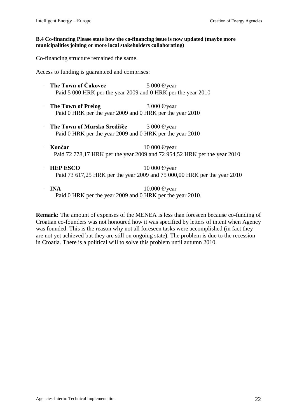#### **B.4 Co-financing Please state how the co-financing issue is now updated (maybe more municipalities joining or more local stakeholders collaborating)**

Co-financing structure remained the same.

Access to funding is guaranteed and comprises:

- **The Town of Čakovec** 5 000 €/year Paid 5 000 HRK per the year 2009 and 0 HRK per the year 2010
- **The Town of Prelog** 3 000 €/year Paid 0 HRK per the year 2009 and 0 HRK per the year 2010
- · **The Town of Mursko Središče** 3 000 €/year Paid 0 HRK per the year 2009 and 0 HRK per the year 2010
- · **Končar** 10 000 €/year Paid 72 778,17 HRK per the year 2009 and 72 954,52 HRK per the year 2010
- **HEP ESCO** 10 000  $\epsilon$ /year Paid 73 617,25 HRK per the year 2009 and 75 000,00 HRK per the year 2010
- $\cdot$  **INA** 10.000 €/year Paid 0 HRK per the year 2009 and 0 HRK per the year 2010.

**Remark:** The amount of expenses of the MENEA is less than foreseen because co-funding of Croatian co-founders was not honoured how it was specified by letters of intent when Agency was founded. This is the reason why not all foreseen tasks were accomplished (in fact they are not yet achieved but they are still on ongoing state). The problem is due to the recession in Croatia. There is a political will to solve this problem until autumn 2010.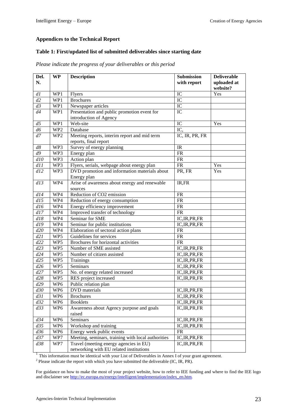#### **Appendices to the Technical Report**

#### **Table 1: First/updated list of submitted deliverables since starting date**

| Del.<br>N.      | <b>WP</b>       | <b>Description</b>                                 | <b>Submission</b><br>with report | <b>Deliverable</b><br>uploaded at |
|-----------------|-----------------|----------------------------------------------------|----------------------------------|-----------------------------------|
|                 |                 |                                                    |                                  | website?                          |
| dl              | WP1             | <b>Flyers</b>                                      | IC                               | Yes                               |
| d2              | WP1             | <b>Brochures</b>                                   | IC                               |                                   |
| d3              | WP1             | Newspaper articles                                 | IC                               |                                   |
| d4              | WP1             | Presentation and public promotion event for        | IC                               |                                   |
|                 |                 | introduction of Agency                             |                                  |                                   |
| d5              | WP1             | Web-site                                           | IC                               | Yes                               |
| d6              | WP <sub>2</sub> | Database                                           | IC,                              |                                   |
| d7              | WP <sub>2</sub> | Meeting reports, interim report and mid term       | IC, IR, PR, FR                   |                                   |
|                 |                 | reports, final report                              |                                  |                                   |
| d8              | WP3             | Survey of energy planning                          | IR                               |                                   |
| $\overline{d9}$ | WP3             | Energy plan                                        | ${\sf FR}$                       |                                   |
| d10             | WP3             | Action plan                                        | ${\sf FR}$                       |                                   |
| d11             | WP3             | Flyers, serials, webpage about energy plan         | ${\sf FR}$                       | Yes                               |
| dl2             | WP3             | DVD promotion and information materials about      | PR, FR                           | Yes                               |
|                 |                 | Energy plan                                        |                                  |                                   |
| dl3             | WP4             | Arise of awareness about energy and renewable      | IR,FR                            |                                   |
|                 |                 | sources                                            |                                  |                                   |
| dl4             | WP4             | Reduction of CO2 emission                          | <b>FR</b>                        |                                   |
| d15             | WP4             | Reduction of energy consumption                    | FR                               |                                   |
| dl6             | WP4             | Energy efficiency improvement                      | ${\sf FR}$                       |                                   |
| d17             | WP4             | Improved transfer of technology                    | <b>FR</b>                        |                                   |
| dl8             | WP4             | Seminar for SME                                    | IC, IR, PR, FR                   |                                   |
| dl9             | WP4             | Seminar for public institutions                    | IC, IR, PR, FR                   |                                   |
| d20             | WP4             | Elaboration of sectoral action plans               | FR                               |                                   |
| d21             | WP5             | Guidelines for services                            | FR                               |                                   |
| d22             | WP5             | Brochures for horizontal activities                | <b>FR</b>                        |                                   |
| d23             | WP5             | Number of SME assisted                             | IC, IR, PR, FR                   |                                   |
| d24             | WP5             | Number of citizen assisted                         | IC, IR, PR, FR                   |                                   |
| d25             | WP5             | Trainings                                          | IC, IR, PR, FR                   |                                   |
| d26             | WP5             | Seminars                                           | IC, IR, PR, FR                   |                                   |
| d27             | WP5             | No. of energy related increased                    | IC, IR, PR, FR                   |                                   |
| d28             | WP5             | RES project increased                              | IC, IR, PR, FR                   |                                   |
| d29             | WP <sub>6</sub> | Public relation plan                               |                                  |                                   |
| d30             | WP <sub>6</sub> | DVD materials                                      | IC, IR, PR, FR                   |                                   |
| d31             | WP6             | <b>Brochures</b>                                   | IC, IR, PR, FR                   |                                   |
| d32             | WP6             | <b>Booklets</b>                                    | IC, IR, PR, FR                   |                                   |
| d33             | WP6             | Awareness about Agency purpose and goals           | IC, IR, PR, FR                   |                                   |
|                 |                 | raised                                             |                                  |                                   |
| d34             | WP <sub>6</sub> | Seminars                                           | IC, IR, PR, FR                   |                                   |
| d35             | WP <sub>6</sub> | Workshop and training                              | IC, IR, PR, FR                   |                                   |
| d36             | WP <sub>6</sub> | Energy week public events                          | ${\sf FR}$                       |                                   |
| d37             | WP7             | Meeting, seminars, training with local authorities | IC, IR, PR, FR                   |                                   |
| d38             | WP7             | Travel (meeting energy agencies in EU)             | IC, IR, PR, FR                   |                                   |
|                 |                 | networking with EU related institutions            |                                  |                                   |

*Please indicate the progress of your deliverables or this period*

 $<sup>1</sup>$  This information must be identical with your List of Deliverables in Annex I of your grant agreement.</sup>

 $2$  Please indicate the report with which you have submitted the deliverable (IC, IR, PR).

For guidance on how to make the most of your project website, how to refer to IEE funding and where to find the IEE logo and disclaimer se[e http://ec.europa.eu/energy/intelligent/implementation/index\\_en.htm](http://ec.europa.eu/energy/intelligent/implementation/index_en.htm)*.*